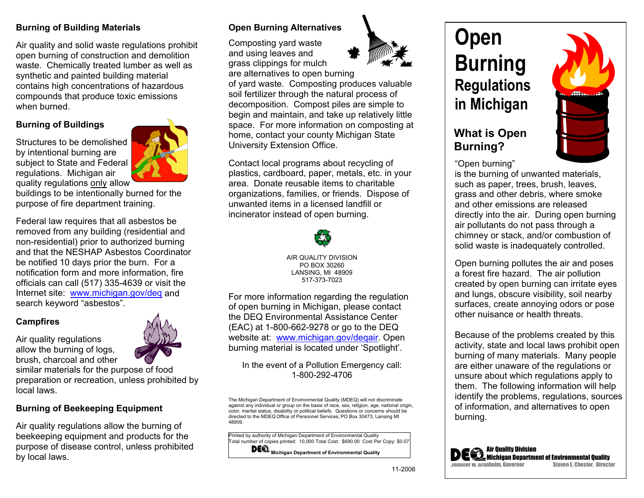#### **Burning of Building Materials**

Air quality and solid waste regulations prohibit open burning of construction and demolition waste. Chemically treated lumber as well as synthetic and painted building material contains high concentrations of hazardous compounds that produce toxic emissions when burned.

#### **Burning of Buildings**

Structures to be demolished by intentional burning are subject to State and Federal regulations. Michigan air quality regulations only allow



buildings to be intentionally burned for the purpose of fire department training.

Federal law requires that all asbestos be removed from any building (residential and non-residential) prior to authorized burning and that the NESHAP Asbestos Coordinator be notified 10 days prior the burn. For a notification form and more information, fire officials can call (517) 335-4639 or visit the Internet site: www.michigan.gov/deg and search keyword "asbestos".

#### **Campfires**

Air quality regulations allow the burning of logs, brush, charcoal and other

similar materials for the purpose of food preparation or recreation, unless prohibited by local laws.

#### **Burning of Beekeeping Equipment**

Air quality regulations allow the burning of beekeeping equipment and products for the purpose of disease control, unless prohibited by local laws.

### **Open Burning Alternatives**

Composting yard waste and using leaves and grass clippings for mulch



are alternatives to open burning of yard waste. Composting produces valuable soil fertilizer through the natural process of decomposition. Compost piles are simple to begin and maintain, and take up relatively little space. For more information on composting at home, contact your county Michigan State University Extension Office.

Contact local programs about recycling of plastics, cardboard, paper, metals, etc. in your area. Donate reusable items to charitable organizations, families, or friends. Dispose of unwanted items in a licensed landfill or incinerator instead of open burning.



AIR QUALITY DIVISION PO BOX 30260 LANSING, MI 48909 517-373-7023

For more information regarding the regulation of open burning in Michigan, please contact the DEQ Environmental Assistance Center (EAC) at 1-800-662-9278 or go to the DEQ website at: www.michigan.gov/deqair. Open burning material is located under 'Spotlight'.

In the event of a Pollution Emergency call: 1-800-292-4706

The Michigan Department of Environmental Quality (MDEQ) will not discriminate against any individual or group on the basis of race, sex, religion, age, national origin, color, marital status, disability or political beliefs. Questions or concerns should be directed to the MDEQ Office of Personnel Services, PO Box 30473, Lansing MI 48909.

Printed by authority of Michigan Department of Environmental Quality Total number of copies printed: 10,000 Total Cost: \$690.00 Cost Per Copy: \$0.07  **Michigan Department of Environmental Quality** 

# **Open Burning Regulations in Michigan**

## **What is Open Burning?**



"Open burning"

 is the burning of unwanted materials, such as paper, trees, brush, leaves, grass and other debris, where smoke and other emissions are released directly into the air. During open burning air pollutants do not pass through a chimney or stack, and/or combustion of solid waste is inadequately controlled.

 Open burning pollutes the air and poses a forest fire hazard. The air pollution created by open burning can irritate eyes and lungs, obscure visibility, soil nearby surfaces, create annoying odors or pose other nuisance or health threats.

 Because of the problems created by this activity, state and local laws prohibit open burning of many materials. Many people are either unaware of the regulations or unsure about which regulations apply to them. The following information will help identify the problems, regulations, sources of information, and alternatives to open burning.



Air Quality Division